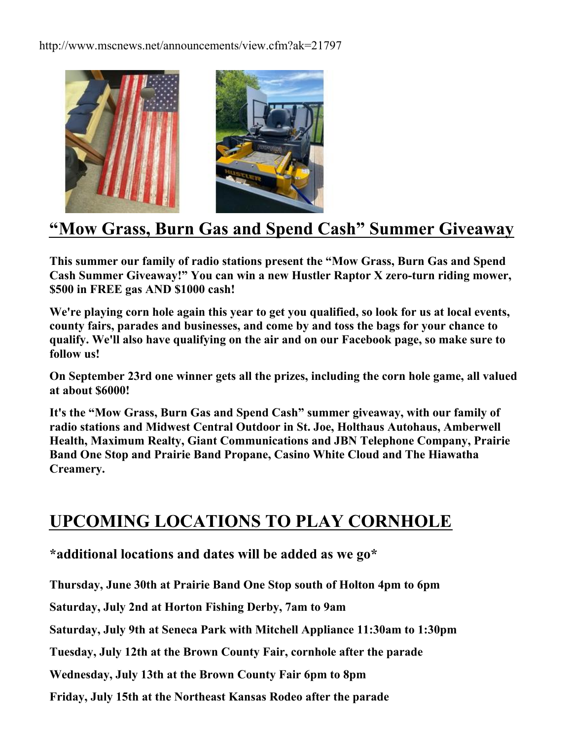http://www.mscnews.net/announcements/view.cfm?ak=21797



## **"Mow Grass, Burn Gas and Spend Cash" Summer Giveaway**

**This summer our family of radio stations present the "Mow Grass, Burn Gas and Spend Cash Summer Giveaway!" You can win a new Hustler Raptor X zero-turn riding mower, \$500 in FREE gas AND \$1000 cash!** 

**We're playing corn hole again this year to get you qualified, so look for us at local events, county fairs, parades and businesses, and come by and toss the bags for your chance to qualify. We'll also have qualifying on the air and on our Facebook page, so make sure to follow us!**

**On September 23rd one winner gets all the prizes, including the corn hole game, all valued at about \$6000!** 

**It's the "Mow Grass, Burn Gas and Spend Cash" summer giveaway, with our family of radio stations and Midwest Central Outdoor in St. Joe, Holthaus Autohaus, Amberwell Health, Maximum Realty, Giant Communications and JBN Telephone Company, Prairie Band One Stop and Prairie Band Propane, Casino White Cloud and The Hiawatha Creamery.** 

## **UPCOMING LOCATIONS TO PLAY CORNHOLE**

**\*additional locations and dates will be added as we go\***

**Thursday, June 30th at Prairie Band One Stop south of Holton 4pm to 6pm**

**Saturday, July 2nd at Horton Fishing Derby, 7am to 9am**

**Saturday, July 9th at Seneca Park with Mitchell Appliance 11:30am to 1:30pm**

**Tuesday, July 12th at the Brown County Fair, cornhole after the parade**

**Wednesday, July 13th at the Brown County Fair 6pm to 8pm**

**Friday, July 15th at the Northeast Kansas Rodeo after the parade**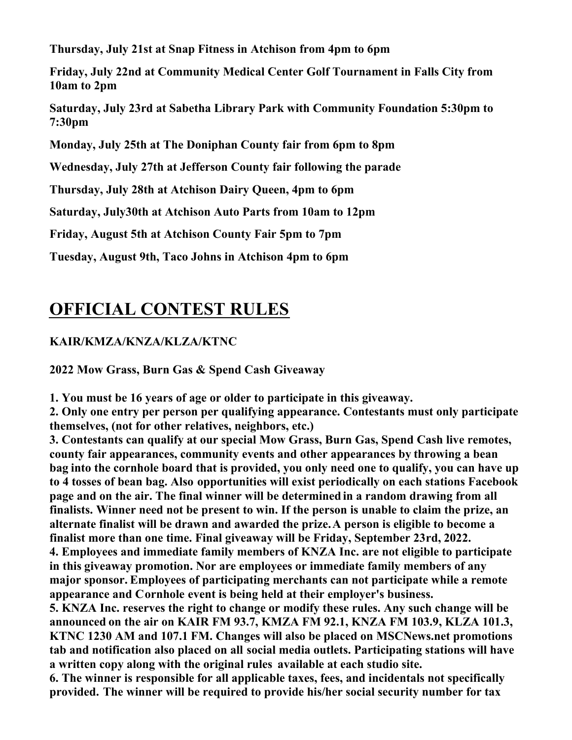**Thursday, July 21st at Snap Fitness in Atchison from 4pm to 6pm**

**Friday, July 22nd at Community Medical Center Golf Tournament in Falls City from 10am to 2pm**

**Saturday, July 23rd at Sabetha Library Park with Community Foundation 5:30pm to 7:30pm**

**Monday, July 25th at The Doniphan County fair from 6pm to 8pm**

**Wednesday, July 27th at Jefferson County fair following the parade**

**Thursday, July 28th at Atchison Dairy Queen, 4pm to 6pm**

**Saturday, July30th at Atchison Auto Parts from 10am to 12pm**

**Friday, August 5th at Atchison County Fair 5pm to 7pm**

**Tuesday, August 9th, Taco Johns in Atchison 4pm to 6pm**

## **OFFICIAL CONTEST RULES**

## **KAIR/KMZA/KNZA/KLZA/KTNC**

**2022 Mow Grass, Burn Gas & Spend Cash Giveaway**

**1. You must be 16 years of age or older to participate in this giveaway.**

**2. Only one entry per person per qualifying appearance. Contestants must only participate themselves, (not for other relatives, neighbors, etc.)**

**3. Contestants can qualify at our special Mow Grass, Burn Gas, Spend Cash live remotes, county fair appearances, community events and other appearances by throwing a bean bag into the cornhole board that is provided, you only need one to qualify, you can have up to 4 tosses of bean bag. Also opportunities will exist periodically on each stations Facebook page and on the air. The final winner will be determined in a random drawing from all finalists. Winner need not be present to win. If the person is unable to claim the prize, an alternate finalist will be drawn and awarded the prize.A person is eligible to become a finalist more than one time. Final giveaway will be Friday, September 23rd, 2022. 4. Employees and immediate family members of KNZA Inc. are not eligible to participate in this giveaway promotion. Nor are employees or immediate family members of any major sponsor. Employees of participating merchants can not participate while a remote appearance and Cornhole event is being held at their employer's business.**

**5. KNZA Inc. reserves the right to change or modify these rules. Any such change will be announced on the air on KAIR FM 93.7, KMZA FM 92.1, KNZA FM 103.9, KLZA 101.3, KTNC 1230 AM and 107.1 FM. Changes will also be placed on MSCNews.net promotions tab and notification also placed on all social media outlets. Participating stations will have a written copy along with the original rules available at each studio site.**

**6. The winner is responsible for all applicable taxes, fees, and incidentals not specifically provided. The winner will be required to provide his/her social security number for tax**